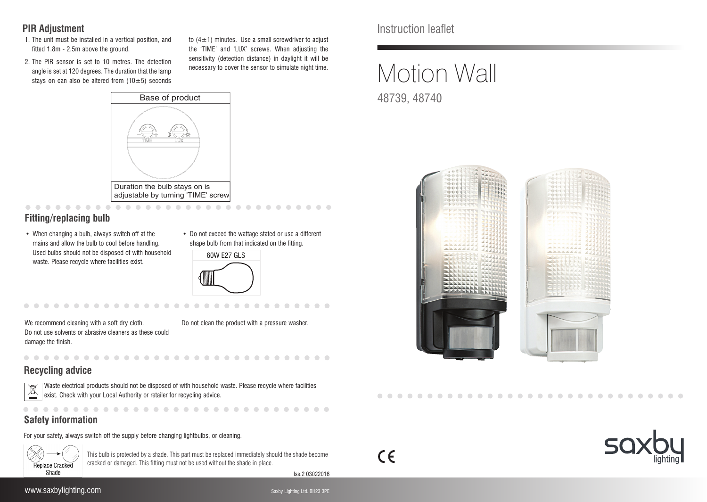### **PIR Adjustment**

- 1. The unit must be installed in a vertical position, and fitted 1.8m - 2.5m above the ground.
- 2. The PIR sensor is set to 10 metres. The detection angle is set at 120 degrees. The duration that the lamp stays on can also be altered from  $(10\pm5)$  seconds

to  $(4\pm1)$  minutes. Use a small screwdriver to adjust the 'TIME' and 'LUX' screws. When adjusting the sensitivity (detection distance) in daylight it will be necessary to cover the sensor to simulate night time.



adjustable by turning 'TIME' screw . . . . . . . . . . . . . . . . . . .

# **Fitting/replacing bulb**

- When changing a bulb, always switch off at the mains and allow the bulb to cool before handling. Used bulbs should not be disposed of with household waste. Please recycle where facilities exist.
- Do not exceed the wattage stated or use a different shape bulb from that indicated on the fitting.

| 60W E27 GLS   |  |
|---------------|--|
| $\mathcal{L}$ |  |

. . . . . . . . . .

We recommend cleaning with a soft dry cloth. Do not use solvents or abrasive cleaners as these could damage the finish.

**. . . . . . . . . . . . .** 

Do not clean the product with a pressure washer.

# **Recycling advice**



Waste electrical products should not be disposed of with household waste. Please recycle where facilities  $\left\langle \frac{x}{x} \right\rangle$  exist. Check with your Local Authority or retailer for recycling advice.

# **Safety information**

For your safety, always switch off the supply before changing lightbulbs, or cleaning.



This bulb is protected by a shade. This part must be replaced immediately should the shade become cracked or damaged. This fitting must not be used without the shade in place.

Iss.2 03022016

 $\epsilon$ 

Instruction leaflet

# Motion Wall 48739, 48740